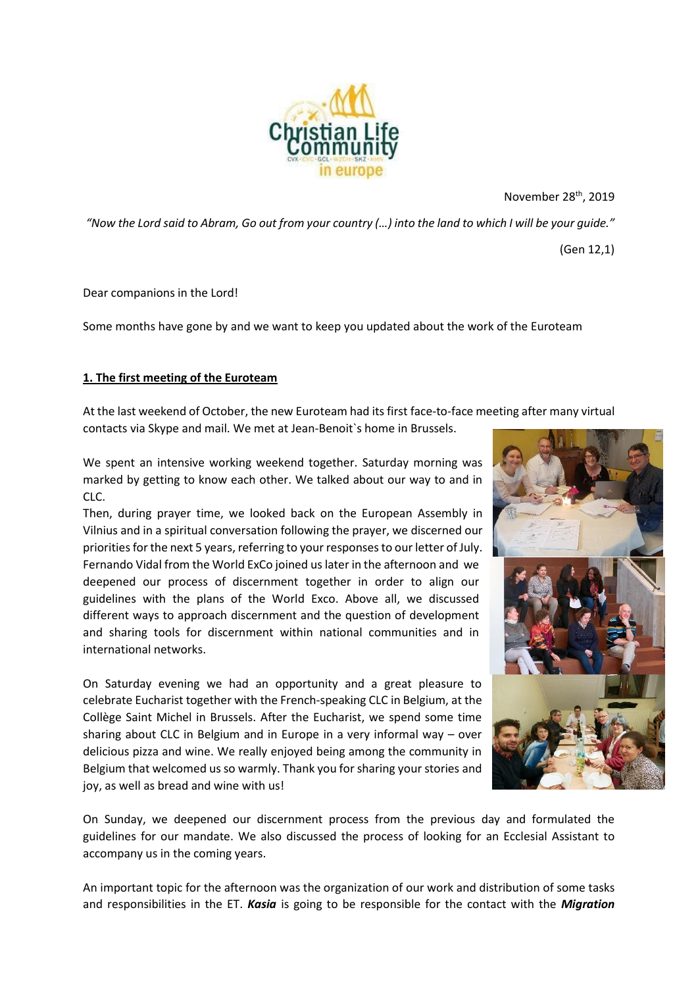

November 28<sup>th</sup>, 2019

*"Now the Lord said to Abram, Go out from your country (…) into the land to which I will be your guide."*

(Gen 12,1)

Dear companions in the Lord!

Some months have gone by and we want to keep you updated about the work of the Euroteam

## **1. The first meeting of the Euroteam**

At the last weekend of October, the new Euroteam had its first face-to-face meeting after many virtual contacts via Skype and mail. We met at Jean-Benoit`s home in Brussels.

We spent an intensive working weekend together. Saturday morning was marked by getting to know each other. We talked about our way to and in CLC.

Then, during prayer time, we looked back on the European Assembly in Vilnius and in a spiritual conversation following the prayer, we discerned our priorities for the next 5 years, referring to your responses to our letter of July. Fernando Vidal from the World ExCo joined us later in the afternoon and we deepened our process of discernment together in order to align our guidelines with the plans of the World Exco. Above all, we discussed different ways to approach discernment and the question of development and sharing tools for discernment within national communities and in international networks.

On Saturday evening we had an opportunity and a great pleasure to celebrate Eucharist together with the French-speaking CLC in Belgium, at the Collège Saint Michel in Brussels. After the Eucharist, we spend some time sharing about CLC in Belgium and in Europe in a very informal way – over delicious pizza and wine. We really enjoyed being among the community in Belgium that welcomed us so warmly. Thank you for sharing your stories and joy, as well as bread and wine with us!



On Sunday, we deepened our discernment process from the previous day and formulated the guidelines for our mandate. We also discussed the process of looking for an Ecclesial Assistant to accompany us in the coming years.

An important topic for the afternoon was the organization of our work and distribution of some tasks and responsibilities in the ET. *Kasia* is going to be responsible for the contact with the *Migration*